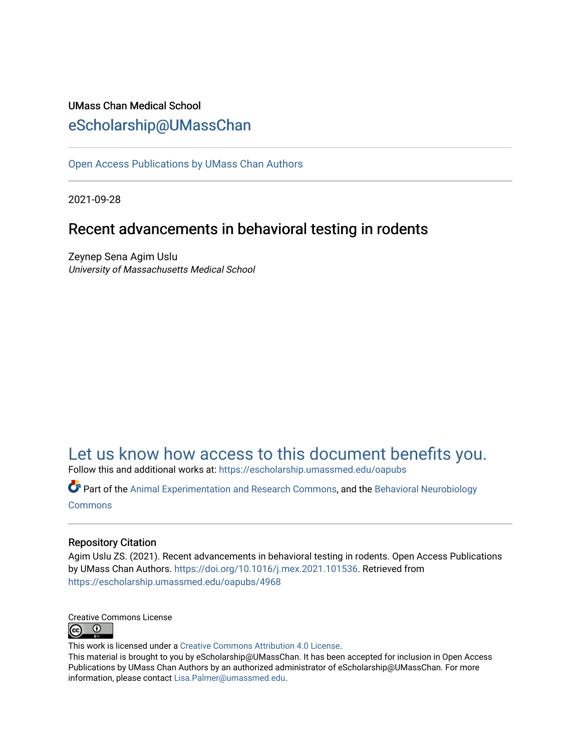### UMass Chan Medical School [eScholarship@UMassChan](https://escholarship.umassmed.edu/)

[Open Access Publications by UMass Chan Authors](https://escholarship.umassmed.edu/oapubs) 

2021-09-28

## Recent advancements in behavioral testing in rodents

Zeynep Sena Agim Uslu University of Massachusetts Medical School

# [Let us know how access to this document benefits you.](https://arcsapps.umassmed.edu/redcap/surveys/?s=XWRHNF9EJE)

Follow this and additional works at: [https://escholarship.umassmed.edu/oapubs](https://escholarship.umassmed.edu/oapubs?utm_source=escholarship.umassmed.edu%2Foapubs%2F4968&utm_medium=PDF&utm_campaign=PDFCoverPages) 

Part of the [Animal Experimentation and Research Commons,](https://network.bepress.com/hgg/discipline/1390?utm_source=escholarship.umassmed.edu%2Foapubs%2F4968&utm_medium=PDF&utm_campaign=PDFCoverPages) and the [Behavioral Neurobiology](https://network.bepress.com/hgg/discipline/56?utm_source=escholarship.umassmed.edu%2Foapubs%2F4968&utm_medium=PDF&utm_campaign=PDFCoverPages)  **[Commons](https://network.bepress.com/hgg/discipline/56?utm_source=escholarship.umassmed.edu%2Foapubs%2F4968&utm_medium=PDF&utm_campaign=PDFCoverPages)** 

### Repository Citation

Agim Uslu ZS. (2021). Recent advancements in behavioral testing in rodents. Open Access Publications by UMass Chan Authors. <https://doi.org/10.1016/j.mex.2021.101536>. Retrieved from [https://escholarship.umassmed.edu/oapubs/4968](https://escholarship.umassmed.edu/oapubs/4968?utm_source=escholarship.umassmed.edu%2Foapubs%2F4968&utm_medium=PDF&utm_campaign=PDFCoverPages)



This work is licensed under a [Creative Commons Attribution 4.0 License](http://creativecommons.org/licenses/by/4.0/).

This material is brought to you by eScholarship@UMassChan. It has been accepted for inclusion in Open Access Publications by UMass Chan Authors by an authorized administrator of eScholarship@UMassChan. For more information, please contact [Lisa.Palmer@umassmed.edu.](mailto:Lisa.Palmer@umassmed.edu)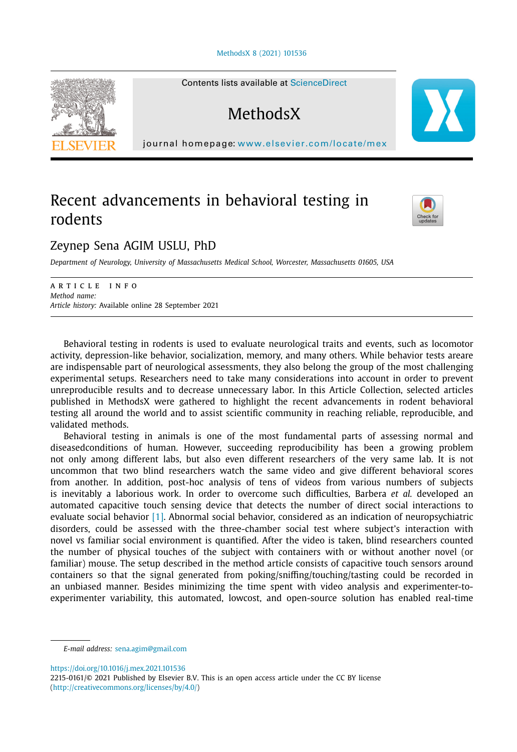#### [MethodsX](https://doi.org/10.1016/j.mex.2021.101536) 8 (2021) 101536



Contents lists available at [ScienceDirect](http://www.ScienceDirect.com)

## **MethodsX**

journal homepage: [www.elsevier.com/locate/mex](http://www.elsevier.com/locate/mex)

### Recent advancements in behavioral testing in rodents



### Zeynep Sena AGIM USLU, PhD

*Department of Neurology, University of Massachusetts Medical School, Worcester, Massachusetts 01605, USA*

ARTICLE INFO *Method name: Article history:* Available online 28 September 2021

Behavioral testing in rodents is used to evaluate neurological traits and events, such as locomotor activity, depression-like behavior, socialization, memory, and many others. While behavior tests areare are indispensable part of neurological assessments, they also belong the group of the most challenging experimental setups. Researchers need to take many considerations into account in order to prevent unreproducible results and to decrease unnecessary labor. In this Article Collection, selected articles published in MethodsX were gathered to highlight the recent advancements in rodent behavioral testing all around the world and to assist scientific community in reaching reliable, reproducible, and validated methods.

Behavioral testing in animals is one of the most fundamental parts of assessing normal and diseasedconditions of human. However, succeeding reproducibility has been a growing problem not only among different labs, but also even different researchers of the very same lab. It is not uncommon that two blind researchers watch the same video and give different behavioral scores from another. In addition, post-hoc analysis of tens of videos from various numbers of subjects is inevitably a laborious work. In order to overcome such difficulties, Barbera *et al.* developed an automated capacitive touch sensing device that detects the number of direct social interactions to evaluate social behavior [\[1\].](#page-4-0) Abnormal social behavior, considered as an indication of neuropsychiatric disorders, could be assessed with the three-chamber social test where subject's interaction with novel vs familiar social environment is quantified. After the video is taken, blind researchers counted the number of physical touches of the subject with containers with or without another novel (or familiar) mouse. The setup described in the method article consists of capacitive touch sensors around containers so that the signal generated from poking/sniffing/touching/tasting could be recorded in an unbiased manner. Besides minimizing the time spent with video analysis and experimenter-toexperimenter variability, this automated, lowcost, and open-source solution has enabled real-time

<https://doi.org/10.1016/j.mex.2021.101536>

*E-mail address:* [sena.agim@gmail.com](mailto:sena.agim@gmail.com)

<sup>2215-0161/© 2021</sup> Published by Elsevier B.V. This is an open access article under the CC BY license [\(http://creativecommons.org/licenses/by/4.0/\)](http://creativecommons.org/licenses/by/4.0/)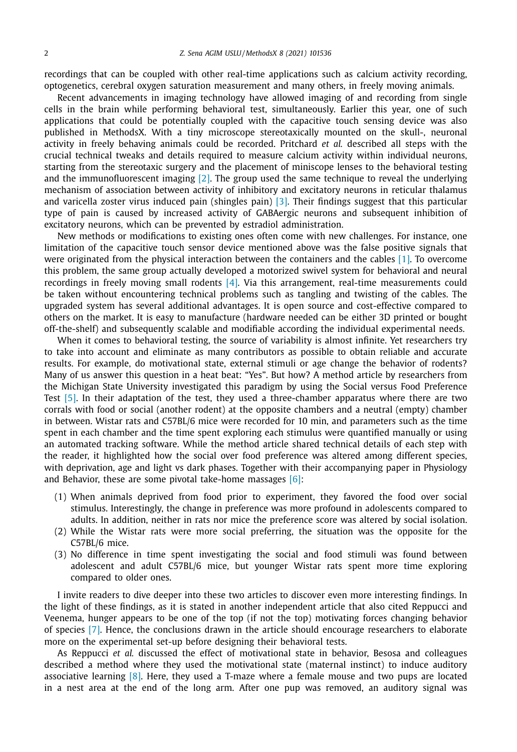recordings that can be coupled with other real-time applications such as calcium activity recording, optogenetics, cerebral oxygen saturation measurement and many others, in freely moving animals.

Recent advancements in imaging technology have allowed imaging of and recording from single cells in the brain while performing behavioral test, simultaneously. Earlier this year, one of such applications that could be potentially coupled with the capacitive touch sensing device was also published in MethodsX. With a tiny microscope stereotaxically mounted on the skull-, neuronal activity in freely behaving animals could be recorded. Pritchard *et al.* described all steps with the crucial technical tweaks and details required to measure calcium activity within individual neurons, starting from the stereotaxic surgery and the placement of miniscope lenses to the behavioral testing and the immunofluorescent imaging [\[2\].](#page-4-0) The group used the same technique to reveal the underlying mechanism of association between activity of inhibitory and excitatory neurons in reticular thalamus and varicella zoster virus induced pain (shingles pain) [\[3\].](#page-4-0) Their findings suggest that this particular type of pain is caused by increased activity of GABAergic neurons and subsequent inhibition of excitatory neurons, which can be prevented by estradiol administration.

New methods or modifications to existing ones often come with new challenges. For instance, one limitation of the capacitive touch sensor device mentioned above was the false positive signals that were originated from the physical interaction between the containers and the cables [\[1\].](#page-4-0) To overcome this problem, the same group actually developed a motorized swivel system for behavioral and neural recordings in freely moving small rodents [\[4\].](#page-4-0) Via this arrangement, real-time measurements could be taken without encountering technical problems such as tangling and twisting of the cables. The upgraded system has several additional advantages. It is open source and cost-effective compared to others on the market. It is easy to manufacture (hardware needed can be either 3D printed or bought off-the-shelf) and subsequently scalable and modifiable according the individual experimental needs.

When it comes to behavioral testing, the source of variability is almost infinite. Yet researchers try to take into account and eliminate as many contributors as possible to obtain reliable and accurate results. For example, do motivational state, external stimuli or age change the behavior of rodents? Many of us answer this question in a heat beat: "Yes". But how? A method article by researchers from the Michigan State University investigated this paradigm by using the Social versus Food Preference Test [\[5\].](#page-4-0) In their adaptation of the test, they used a three-chamber apparatus where there are two corrals with food or social (another rodent) at the opposite chambers and a neutral (empty) chamber in between. Wistar rats and C57BL/6 mice were recorded for 10 min, and parameters such as the time spent in each chamber and the time spent exploring each stimulus were quantified manually or using an automated tracking software. While the method article shared technical details of each step with the reader, it highlighted how the social over food preference was altered among different species, with deprivation, age and light vs dark phases. Together with their accompanying paper in Physiology and Behavior, these are some pivotal take-home massages  $[6]$ :

- (1) When animals deprived from food prior to experiment, they favored the food over social stimulus. Interestingly, the change in preference was more profound in adolescents compared to adults. In addition, neither in rats nor mice the preference score was altered by social isolation.
- (2) While the Wistar rats were more social preferring, the situation was the opposite for the C57BL/6 mice.
- (3) No difference in time spent investigating the social and food stimuli was found between adolescent and adult C57BL/6 mice, but younger Wistar rats spent more time exploring compared to older ones.

I invite readers to dive deeper into these two articles to discover even more interesting findings. In the light of these findings, as it is stated in another independent article that also cited Reppucci and Veenema, hunger appears to be one of the top (if not the top) motivating forces changing behavior of species [\[7\].](#page-4-0) Hence, the conclusions drawn in the article should encourage researchers to elaborate more on the experimental set-up before designing their behavioral tests.

As Reppucci *et al.* discussed the effect of motivational state in behavior, Besosa and colleagues described a method where they used the motivational state (maternal instinct) to induce auditory associative learning  $[8]$ . Here, they used a T-maze where a female mouse and two pups are located in a nest area at the end of the long arm. After one pup was removed, an auditory signal was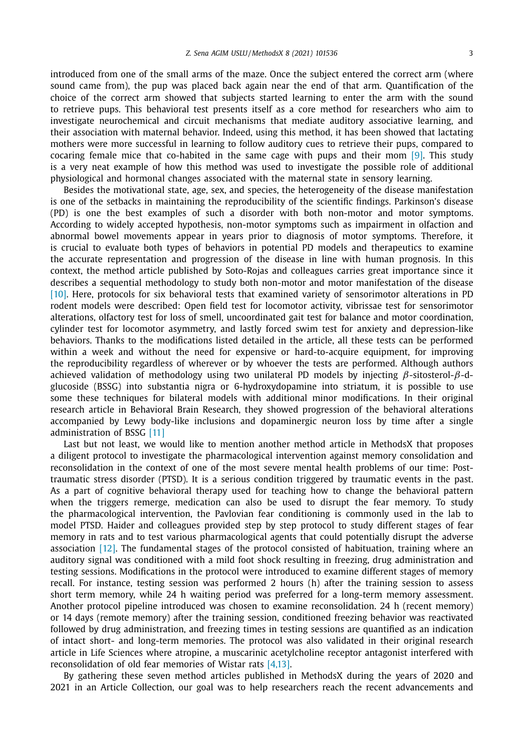introduced from one of the small arms of the maze. Once the subject entered the correct arm (where sound came from), the pup was placed back again near the end of that arm. Quantification of the choice of the correct arm showed that subjects started learning to enter the arm with the sound to retrieve pups. This behavioral test presents itself as a core method for researchers who aim to investigate neurochemical and circuit mechanisms that mediate auditory associative learning, and their association with maternal behavior. Indeed, using this method, it has been showed that lactating mothers were more successful in learning to follow auditory cues to retrieve their pups, compared to cocaring female mice that co-habited in the same cage with pups and their mom [\[9\].](#page-4-0) This study is a very neat example of how this method was used to investigate the possible role of additional physiological and hormonal changes associated with the maternal state in sensory learning.

Besides the motivational state, age, sex, and species, the heterogeneity of the disease manifestation is one of the setbacks in maintaining the reproducibility of the scientific findings. Parkinson's disease (PD) is one the best examples of such a disorder with both non-motor and motor symptoms. According to widely accepted hypothesis, non-motor symptoms such as impairment in olfaction and abnormal bowel movements appear in years prior to diagnosis of motor symptoms. Therefore, it is crucial to evaluate both types of behaviors in potential PD models and therapeutics to examine the accurate representation and progression of the disease in line with human prognosis. In this context, the method article published by Soto-Rojas and colleagues carries great importance since it describes a sequential methodology to study both non-motor and motor manifestation of the disease [\[10\].](#page-4-0) Here, protocols for six behavioral tests that examined variety of sensorimotor alterations in PD rodent models were described: Open field test for locomotor activity, vibrissae test for sensorimotor alterations, olfactory test for loss of smell, uncoordinated gait test for balance and motor coordination, cylinder test for locomotor asymmetry, and lastly forced swim test for anxiety and depression-like behaviors. Thanks to the modifications listed detailed in the article, all these tests can be performed within a week and without the need for expensive or hard-to-acquire equipment, for improving the reproducibility regardless of wherever or by whoever the tests are performed. Although authors achieved validation of methodology using two unilateral PD models by injecting  $\beta$ -sitosterol- $\beta$ -dglucoside (BSSG) into substantia nigra or 6-hydroxydopamine into striatum, it is possible to use some these techniques for bilateral models with additional minor modifications. In their original research article in Behavioral Brain Research, they showed progression of the behavioral alterations accompanied by Lewy body-like inclusions and dopaminergic neuron loss by time after a single administration of BSSG [\[11\]](#page-4-0)

Last but not least, we would like to mention another method article in MethodsX that proposes a diligent protocol to investigate the pharmacological intervention against memory consolidation and reconsolidation in the context of one of the most severe mental health problems of our time: Posttraumatic stress disorder (PTSD). It is a serious condition triggered by traumatic events in the past. As a part of cognitive behavioral therapy used for teaching how to change the behavioral pattern when the triggers remerge, medication can also be used to disrupt the fear memory. To study the pharmacological intervention, the Pavlovian fear conditioning is commonly used in the lab to model PTSD. Haider and colleagues provided step by step protocol to study different stages of fear memory in rats and to test various pharmacological agents that could potentially disrupt the adverse association [\[12\].](#page-4-0) The fundamental stages of the protocol consisted of habituation, training where an auditory signal was conditioned with a mild foot shock resulting in freezing, drug administration and testing sessions. Modifications in the protocol were introduced to examine different stages of memory recall. For instance, testing session was performed 2 hours (h) after the training session to assess short term memory, while 24 h waiting period was preferred for a long-term memory assessment. Another protocol pipeline introduced was chosen to examine reconsolidation. 24 h (recent memory) or 14 days (remote memory) after the training session, conditioned freezing behavior was reactivated followed by drug administration, and freezing times in testing sessions are quantified as an indication of intact short- and long-term memories. The protocol was also validated in their original research article in Life Sciences where atropine, a muscarinic acetylcholine receptor antagonist interfered with reconsolidation of old fear memories of Wistar rats [\[4,13\].](#page-4-0)

By gathering these seven method articles published in MethodsX during the years of 2020 and 2021 in an Article Collection, our goal was to help researchers reach the recent advancements and